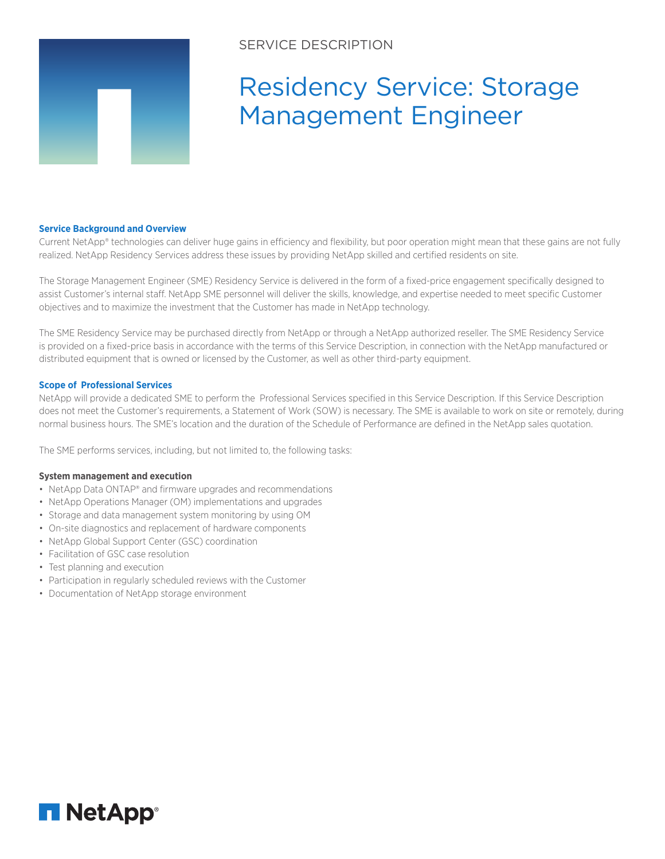

# SERVICE DESCRIPTION

# Residency Service: Storage Management Engineer

#### **Service Background and Overview**

Current NetApp® technologies can deliver huge gains in efficiency and flexibility, but poor operation might mean that these gains are not fully realized. NetApp Residency Services address these issues by providing NetApp skilled and certified residents on site.

The Storage Management Engineer (SME) Residency Service is delivered in the form of a fixed-price engagement specifically designed to assist Customer's internal staff. NetApp SME personnel will deliver the skills, knowledge, and expertise needed to meet specific Customer objectives and to maximize the investment that the Customer has made in NetApp technology.

The SME Residency Service may be purchased directly from NetApp or through a NetApp authorized reseller. The SME Residency Service is provided on a fixed-price basis in accordance with the terms of this Service Description, in connection with the NetApp manufactured or distributed equipment that is owned or licensed by the Customer, as well as other third-party equipment.

#### **Scope of Professional Services**

NetApp will provide a dedicated SME to perform the Professional Services specified in this Service Description. If this Service Description does not meet the Customer's requirements, a Statement of Work (SOW) is necessary. The SME is available to work on site or remotely, during normal business hours. The SME's location and the duration of the Schedule of Performance are defined in the NetApp sales quotation.

The SME performs services, including, but not limited to, the following tasks:

#### **System management and execution**

- NetApp Data ONTAP® and firmware upgrades and recommendations
- NetApp Operations Manager (OM) implementations and upgrades
- Storage and data management system monitoring by using OM
- On-site diagnostics and replacement of hardware components
- NetApp Global Support Center (GSC) coordination
- Facilitation of GSC case resolution
- Test planning and execution
- Participation in regularly scheduled reviews with the Customer
- Documentation of NetApp storage environment

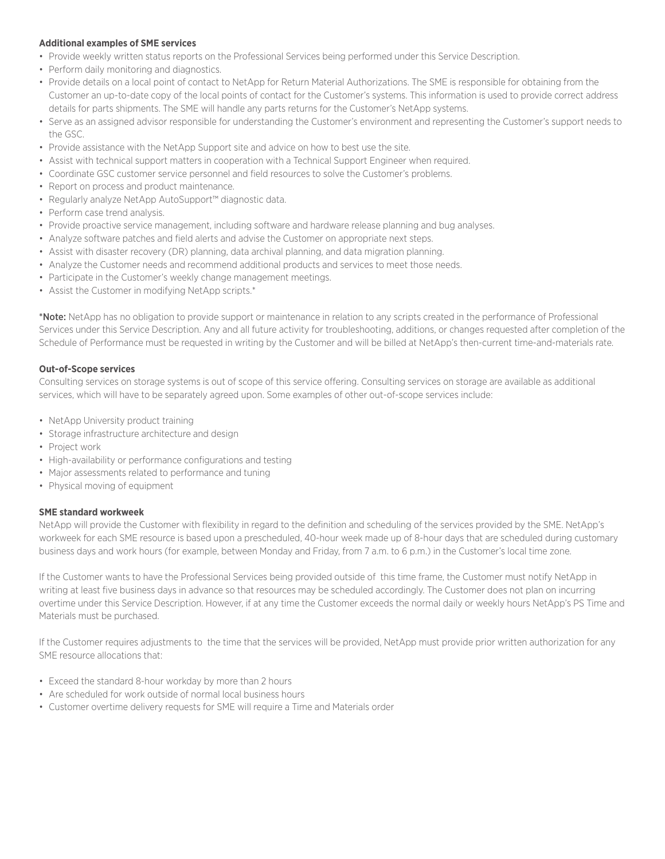# **Additional examples of SME services**

- Provide weekly written status reports on the Professional Services being performed under this Service Description.
- Perform daily monitoring and diagnostics.
- Provide details on a local point of contact to NetApp for Return Material Authorizations. The SME is responsible for obtaining from the Customer an up-to-date copy of the local points of contact for the Customer's systems. This information is used to provide correct address details for parts shipments. The SME will handle any parts returns for the Customer's NetApp systems.
- Serve as an assigned advisor responsible for understanding the Customer's environment and representing the Customer's support needs to the GSC.
- Provide assistance with the NetApp Support site and advice on how to best use the site.
- Assist with technical support matters in cooperation with a Technical Support Engineer when required.
- Coordinate GSC customer service personnel and field resources to solve the Customer's problems.
- Report on process and product maintenance.
- Regularly analyze NetApp AutoSupport™ diagnostic data.
- Perform case trend analysis.
- Provide proactive service management, including software and hardware release planning and bug analyses.
- Analyze software patches and field alerts and advise the Customer on appropriate next steps.
- Assist with disaster recovery (DR) planning, data archival planning, and data migration planning.
- Analyze the Customer needs and recommend additional products and services to meet those needs.
- Participate in the Customer's weekly change management meetings.
- Assist the Customer in modifying NetApp scripts.\*

\*Note: NetApp has no obligation to provide support or maintenance in relation to any scripts created in the performance of Professional Services under this Service Description. Any and all future activity for troubleshooting, additions, or changes requested after completion of the Schedule of Performance must be requested in writing by the Customer and will be billed at NetApp's then-current time-and-materials rate.

# **Out-of-Scope services**

Consulting services on storage systems is out of scope of this service offering. Consulting services on storage are available as additional services, which will have to be separately agreed upon. Some examples of other out-of-scope services include:

- NetApp University product training
- Storage infrastructure architecture and design
- Project work
- High-availability or performance configurations and testing
- Major assessments related to performance and tuning
- Physical moving of equipment

#### **SME standard workweek**

NetApp will provide the Customer with flexibility in regard to the definition and scheduling of the services provided by the SME. NetApp's workweek for each SME resource is based upon a prescheduled, 40-hour week made up of 8-hour days that are scheduled during customary business days and work hours (for example, between Monday and Friday, from 7 a.m. to 6 p.m.) in the Customer's local time zone.

If the Customer wants to have the Professional Services being provided outside of this time frame, the Customer must notify NetApp in writing at least five business days in advance so that resources may be scheduled accordingly. The Customer does not plan on incurring overtime under this Service Description. However, if at any time the Customer exceeds the normal daily or weekly hours NetApp's PS Time and Materials must be purchased.

If the Customer requires adjustments to the time that the services will be provided, NetApp must provide prior written authorization for any SME resource allocations that:

- Exceed the standard 8-hour workday by more than 2 hours
- Are scheduled for work outside of normal local business hours
- Customer overtime delivery requests for SME will require a Time and Materials order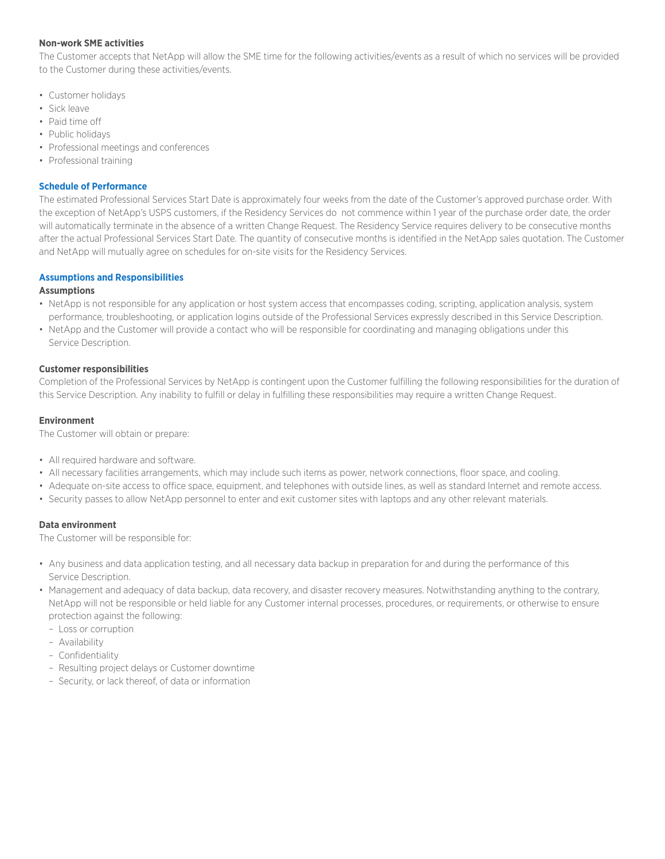# **Non-work SME activities**

The Customer accepts that NetApp will allow the SME time for the following activities/events as a result of which no services will be provided to the Customer during these activities/events.

- Customer holidays
- Sick leave
- Paid time off
- Public holidays
- Professional meetings and conferences
- Professional training

#### **Schedule of Performance**

The estimated Professional Services Start Date is approximately four weeks from the date of the Customer's approved purchase order. With the exception of NetApp's USPS customers, if the Residency Services do not commence within 1 year of the purchase order date, the order will automatically terminate in the absence of a written Change Request. The Residency Service requires delivery to be consecutive months after the actual Professional Services Start Date. The quantity of consecutive months is identified in the NetApp sales quotation. The Customer and NetApp will mutually agree on schedules for on-site visits for the Residency Services.

# **Assumptions and Responsibilities**

# **Assumptions**

- NetApp is not responsible for any application or host system access that encompasses coding, scripting, application analysis, system performance, troubleshooting, or application logins outside of the Professional Services expressly described in this Service Description.
- NetApp and the Customer will provide a contact who will be responsible for coordinating and managing obligations under this Service Description.

# **Customer responsibilities**

Completion of the Professional Services by NetApp is contingent upon the Customer fulfilling the following responsibilities for the duration of this Service Description. Any inability to fulfill or delay in fulfilling these responsibilities may require a written Change Request.

# **Environment**

The Customer will obtain or prepare:

- All required hardware and software.
- All necessary facilities arrangements, which may include such items as power, network connections, floor space, and cooling.
- Adequate on-site access to office space, equipment, and telephones with outside lines, as well as standard Internet and remote access.
- Security passes to allow NetApp personnel to enter and exit customer sites with laptops and any other relevant materials.

# **Data environment**

The Customer will be responsible for:

- Any business and data application testing, and all necessary data backup in preparation for and during the performance of this Service Description.
- Management and adequacy of data backup, data recovery, and disaster recovery measures. Notwithstanding anything to the contrary, NetApp will not be responsible or held liable for any Customer internal processes, procedures, or requirements, or otherwise to ensure protection against the following:
	- Loss or corruption
	- Availability
	- Confidentiality
	- Resulting project delays or Customer downtime
	- Security, or lack thereof, of data or information